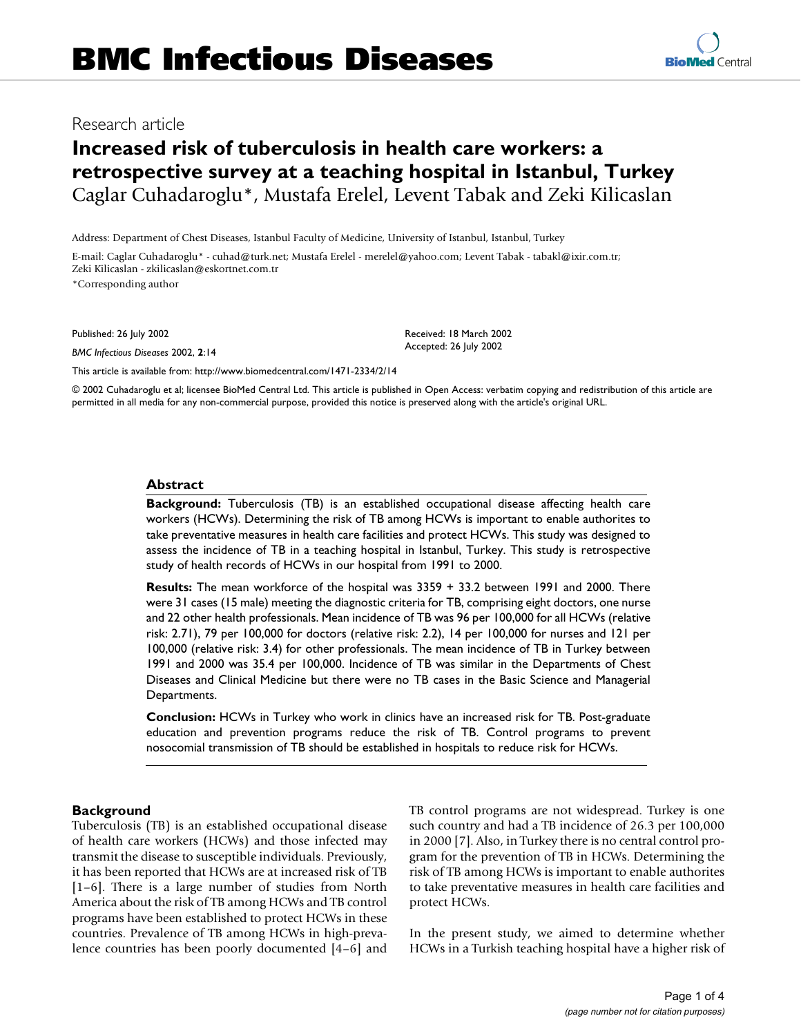## Research article

# **Increased risk of tuberculosis in health care workers: a retrospective survey at a teaching hospital in Istanbul, Turkey** Caglar Cuhadaroglu\*, Mustafa Erelel, Levent Tabak and Zeki Kilicaslan

Address: Department of Chest Diseases, Istanbul Faculty of Medicine, University of Istanbul, Istanbul, Turkey

E-mail: Caglar Cuhadaroglu\* - cuhad@turk.net; Mustafa Erelel - merelel@yahoo.com; Levent Tabak - tabakl@ixir.com.tr; Zeki Kilicaslan - zkilicaslan@eskortnet.com.tr

\*Corresponding author

Published: 26 July 2002

*BMC Infectious Diseases* 2002, **2**:14

Accepted: 26 July 2002

Received: 18 March 2002

[This article is available from: http://www.biomedcentral.com/1471-2334/2/14](http://www.biomedcentral.com/1471-2334/2/14)

© 2002 Cuhadaroglu et al; licensee BioMed Central Ltd. This article is published in Open Access: verbatim copying and redistribution of this article are permitted in all media for any non-commercial purpose, provided this notice is preserved along with the article's original URL.

#### **Abstract**

**Background:** Tuberculosis (TB) is an established occupational disease affecting health care workers (HCWs). Determining the risk of TB among HCWs is important to enable authorites to take preventative measures in health care facilities and protect HCWs. This study was designed to assess the incidence of TB in a teaching hospital in Istanbul, Turkey. This study is retrospective study of health records of HCWs in our hospital from 1991 to 2000.

**Results:** The mean workforce of the hospital was 3359 + 33.2 between 1991 and 2000. There were 31 cases (15 male) meeting the diagnostic criteria for TB, comprising eight doctors, one nurse and 22 other health professionals. Mean incidence of TB was 96 per 100,000 for all HCWs (relative risk: 2.71), 79 per 100,000 for doctors (relative risk: 2.2), 14 per 100,000 for nurses and 121 per 100,000 (relative risk: 3.4) for other professionals. The mean incidence of TB in Turkey between 1991 and 2000 was 35.4 per 100,000. Incidence of TB was similar in the Departments of Chest Diseases and Clinical Medicine but there were no TB cases in the Basic Science and Managerial Departments.

**Conclusion:** HCWs in Turkey who work in clinics have an increased risk for TB. Post-graduate education and prevention programs reduce the risk of TB. Control programs to prevent nosocomial transmission of TB should be established in hospitals to reduce risk for HCWs.

## **Background**

Tuberculosis (TB) is an established occupational disease of health care workers (HCWs) and those infected may transmit the disease to susceptible individuals. Previously, it has been reported that HCWs are at increased risk of TB [1–6]. There is a large number of studies from North America about the risk of TB among HCWs and TB control programs have been established to protect HCWs in these countries. Prevalence of TB among HCWs in high-prevalence countries has been poorly documented [4–6] and TB control programs are not widespread. Turkey is one such country and had a TB incidence of 26.3 per 100,000 in 2000 [7]. Also, in Turkey there is no central control program for the prevention of TB in HCWs. Determining the risk of TB among HCWs is important to enable authorites to take preventative measures in health care facilities and protect HCWs.

In the present study, we aimed to determine whether HCWs in a Turkish teaching hospital have a higher risk of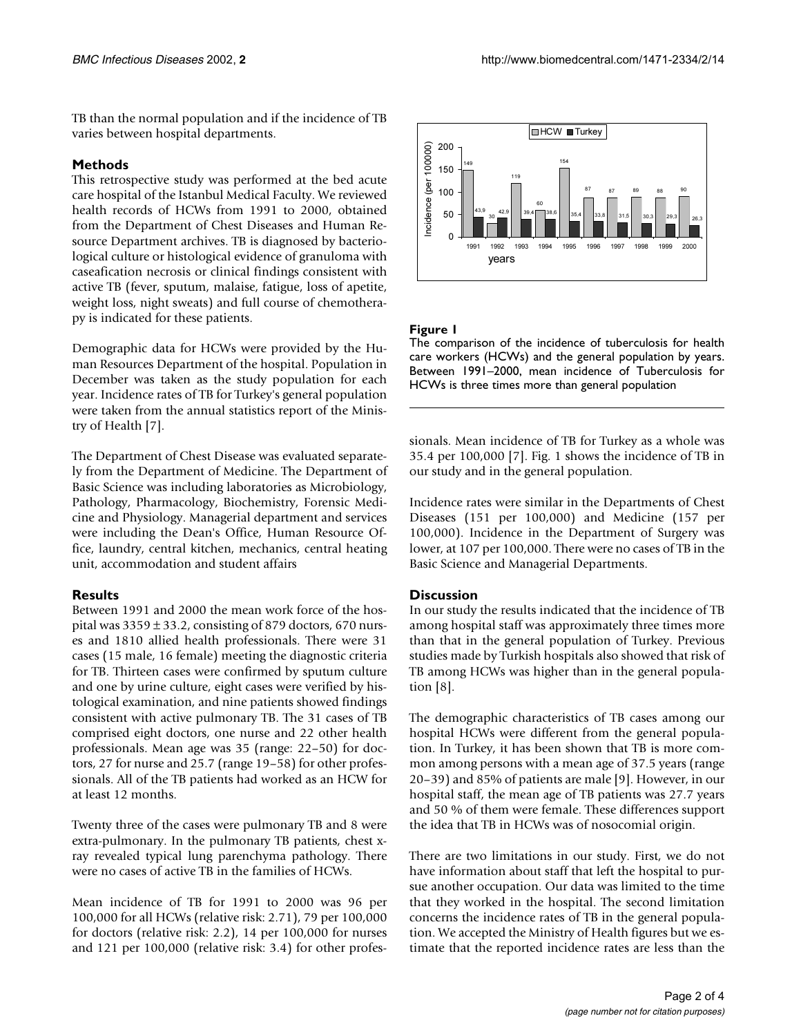TB than the normal population and if the incidence of TB varies between hospital departments.

## **Methods**

This retrospective study was performed at the bed acute care hospital of the Istanbul Medical Faculty. We reviewed health records of HCWs from 1991 to 2000, obtained from the Department of Chest Diseases and Human Resource Department archives. TB is diagnosed by bacteriological culture or histological evidence of granuloma with caseafication necrosis or clinical findings consistent with active TB (fever, sputum, malaise, fatigue, loss of apetite, weight loss, night sweats) and full course of chemotherapy is indicated for these patients.

Demographic data for HCWs were provided by the Human Resources Department of the hospital. Population in December was taken as the study population for each year. Incidence rates of TB for Turkey's general population were taken from the annual statistics report of the Ministry of Health [7].

The Department of Chest Disease was evaluated separately from the Department of Medicine. The Department of Basic Science was including laboratories as Microbiology, Pathology, Pharmacology, Biochemistry, Forensic Medicine and Physiology. Managerial department and services were including the Dean's Office, Human Resource Office, laundry, central kitchen, mechanics, central heating unit, accommodation and student affairs

## **Results**

Between 1991 and 2000 the mean work force of the hospital was  $3359 \pm 33.2$ , consisting of 879 doctors, 670 nurses and 1810 allied health professionals. There were 31 cases (15 male, 16 female) meeting the diagnostic criteria for TB. Thirteen cases were confirmed by sputum culture and one by urine culture, eight cases were verified by histological examination, and nine patients showed findings consistent with active pulmonary TB. The 31 cases of TB comprised eight doctors, one nurse and 22 other health professionals. Mean age was 35 (range: 22–50) for doctors, 27 for nurse and 25.7 (range 19–58) for other professionals. All of the TB patients had worked as an HCW for at least 12 months.

Twenty three of the cases were pulmonary TB and 8 were extra-pulmonary. In the pulmonary TB patients, chest xray revealed typical lung parenchyma pathology. There were no cases of active TB in the families of HCWs.

Mean incidence of TB for 1991 to 2000 was 96 per 100,000 for all HCWs (relative risk: 2.71), 79 per 100,000 for doctors (relative risk: 2.2), 14 per 100,000 for nurses and 121 per 100,000 (relative risk: 3.4) for other profes-



## **Figure 1**

The comparison of the incidence of tuberculosis for health care workers (HCWs) and the general population by years. Between 1991–2000, mean incidence of Tuberculosis for HCWs is three times more than general population

sionals. Mean incidence of TB for Turkey as a whole was 35.4 per 100,000 [7]. Fig. 1 shows the incidence of TB in our study and in the general population.

Incidence rates were similar in the Departments of Chest Diseases (151 per 100,000) and Medicine (157 per 100,000). Incidence in the Department of Surgery was lower, at 107 per 100,000. There were no cases of TB in the Basic Science and Managerial Departments.

## **Discussion**

In our study the results indicated that the incidence of TB among hospital staff was approximately three times more than that in the general population of Turkey. Previous studies made by Turkish hospitals also showed that risk of TB among HCWs was higher than in the general population [8].

The demographic characteristics of TB cases among our hospital HCWs were different from the general population. In Turkey, it has been shown that TB is more common among persons with a mean age of 37.5 years (range 20–39) and 85% of patients are male [9]. However, in our hospital staff, the mean age of TB patients was 27.7 years and 50 % of them were female. These differences support the idea that TB in HCWs was of nosocomial origin.

There are two limitations in our study. First, we do not have information about staff that left the hospital to pursue another occupation. Our data was limited to the time that they worked in the hospital. The second limitation concerns the incidence rates of TB in the general population. We accepted the Ministry of Health figures but we estimate that the reported incidence rates are less than the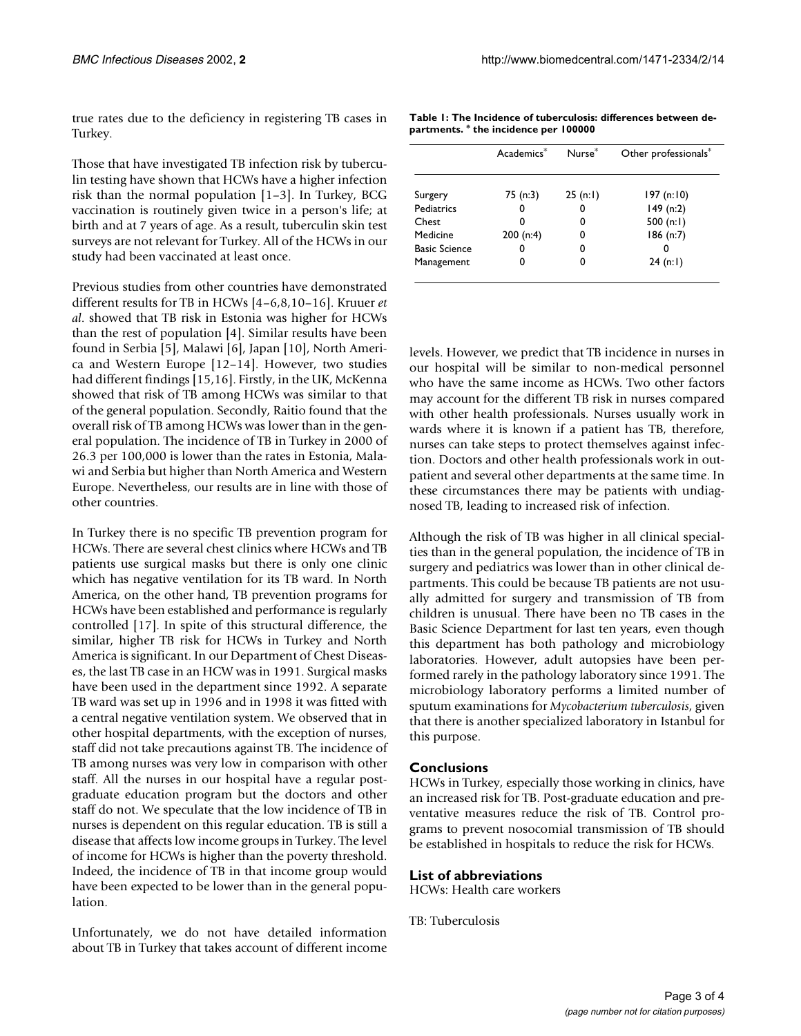true rates due to the deficiency in registering TB cases in Turkey.

Those that have investigated TB infection risk by tuberculin testing have shown that HCWs have a higher infection risk than the normal population [1–3]. In Turkey, BCG vaccination is routinely given twice in a person's life; at birth and at 7 years of age. As a result, tuberculin skin test surveys are not relevant for Turkey. All of the HCWs in our study had been vaccinated at least once.

Previous studies from other countries have demonstrated different results for TB in HCWs [4–6,8,10–16]. Kruuer *et al*. showed that TB risk in Estonia was higher for HCWs than the rest of population [4]. Similar results have been found in Serbia [5], Malawi [6], Japan [10], North America and Western Europe [12–14]. However, two studies had different findings [15,16]. Firstly, in the UK, McKenna showed that risk of TB among HCWs was similar to that of the general population. Secondly, Raitio found that the overall risk of TB among HCWs was lower than in the general population. The incidence of TB in Turkey in 2000 of 26.3 per 100,000 is lower than the rates in Estonia, Malawi and Serbia but higher than North America and Western Europe. Nevertheless, our results are in line with those of other countries.

In Turkey there is no specific TB prevention program for HCWs. There are several chest clinics where HCWs and TB patients use surgical masks but there is only one clinic which has negative ventilation for its TB ward. In North America, on the other hand, TB prevention programs for HCWs have been established and performance is regularly controlled [17]. In spite of this structural difference, the similar, higher TB risk for HCWs in Turkey and North America is significant. In our Department of Chest Diseases, the last TB case in an HCW was in 1991. Surgical masks have been used in the department since 1992. A separate TB ward was set up in 1996 and in 1998 it was fitted with a central negative ventilation system. We observed that in other hospital departments, with the exception of nurses, staff did not take precautions against TB. The incidence of TB among nurses was very low in comparison with other staff. All the nurses in our hospital have a regular postgraduate education program but the doctors and other staff do not. We speculate that the low incidence of TB in nurses is dependent on this regular education. TB is still a disease that affects low income groups in Turkey. The level of income for HCWs is higher than the poverty threshold. Indeed, the incidence of TB in that income group would have been expected to be lower than in the general population.

Unfortunately, we do not have detailed information about TB in Turkey that takes account of different income

**Table 1: The Incidence of tuberculosis: differences between departments. \* the incidence per 100000**

|                      | Academics* | Nurse <sup>*</sup> | Other professionals* |
|----------------------|------------|--------------------|----------------------|
| Surgery              | 75 (n:3)   | 25(n:1)            | 197 (n:10)           |
| <b>Pediatrics</b>    | 0          | 0                  | $149$ (n:2)          |
| Chest                | 0          | 0                  | 500 $(n:1)$          |
| Medicine             | 200 (n:4)  | 0                  | 186 (n:7)            |
| <b>Basic Science</b> | 0          | 0                  |                      |
| Management           | 0          | 0                  | $24$ (n:1)           |

levels. However, we predict that TB incidence in nurses in our hospital will be similar to non-medical personnel who have the same income as HCWs. Two other factors may account for the different TB risk in nurses compared with other health professionals. Nurses usually work in wards where it is known if a patient has TB, therefore, nurses can take steps to protect themselves against infection. Doctors and other health professionals work in outpatient and several other departments at the same time. In these circumstances there may be patients with undiagnosed TB, leading to increased risk of infection.

Although the risk of TB was higher in all clinical specialties than in the general population, the incidence of TB in surgery and pediatrics was lower than in other clinical departments. This could be because TB patients are not usually admitted for surgery and transmission of TB from children is unusual. There have been no TB cases in the Basic Science Department for last ten years, even though this department has both pathology and microbiology laboratories. However, adult autopsies have been performed rarely in the pathology laboratory since 1991. The microbiology laboratory performs a limited number of sputum examinations for *Mycobacterium tuberculosis*, given that there is another specialized laboratory in Istanbul for this purpose.

## **Conclusions**

HCWs in Turkey, especially those working in clinics, have an increased risk for TB. Post-graduate education and preventative measures reduce the risk of TB. Control programs to prevent nosocomial transmission of TB should be established in hospitals to reduce the risk for HCWs.

## **List of abbreviations**

HCWs: Health care workers

TB: Tuberculosis